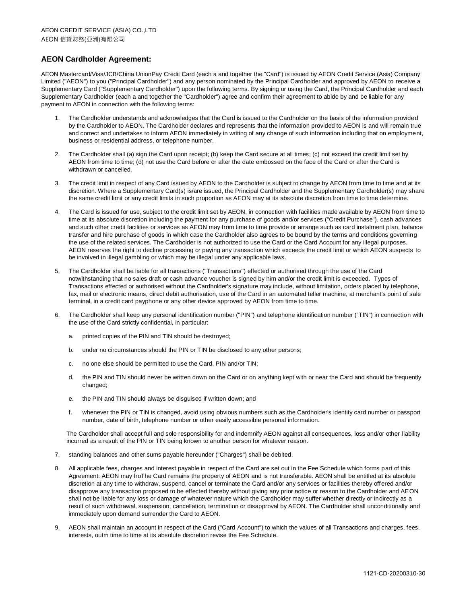## **AEON Cardholder Agreement:**

AEON Mastercard/Visa/JCB/China UnionPay Credit Card (each a and together the "Card") is issued by AEON Credit Service (Asia) Company Limited ("AEON") to you ("Principal Cardholder") and any person nominated by the Principal Cardholder and approved by AEON to receive a Supplementary Card ("Supplementary Cardholder") upon the following terms. By signing or using the Card, the Principal Cardholder and each Supplementary Cardholder (each a and together the "Cardholder") agree and confirm their agreement to abide by and be liable for any payment to AEON in connection with the following terms:

- 1. The Cardholder understands and acknowledges that the Card is issued to the Cardholder on the basis of the information provided by the Cardholder to AEON. The Cardholder declares and represents that the information provided to AEON is and will remain true and correct and undertakes to inform AEON immediately in writing of any change of such information including that on employment, business or residential address, or telephone number.
- 2. The Cardholder shall (a) sign the Card upon receipt; (b) keep the Card secure at all times; (c) not exceed the credit limit set by AEON from time to time; (d) not use the Card before or after the date embossed on the face of the Card or after the Card is withdrawn or cancelled.
- The credit limit in respect of any Card issued by AEON to the Cardholder is subject to change by AEON from time to time and at its discretion. Where a Supplementary Card(s) is/are issued, the Principal Cardholder and the Supplementary Cardholder(s) may share the same credit limit or any credit limits in such proportion as AEON may at its absolute discretion from time to time determine.
- 4. The Card is issued for use, subject to the credit limit set by AEON, in connection with facilities made available by AEON from time to time at its absolute discretion including the payment for any purchase of goods and/or services ("Credit Purchase"), cash advances and such other credit facilities or services as AEON may from time to time provide or arrange such as card instalment plan, balance transfer and hire purchase of goods in which case the Cardholder also agrees to be bound by the terms and conditions governing the use of the related services. The Cardholder is not authorized to use the Card or the Card Account for any illegal purposes. AEON reserves the right to decline processing or paying any transaction which exceeds the credit limit or which AEON suspects to be involved in illegal gambling or which may be illegal under any applicable laws.
- 5. The Cardholder shall be liable for all transactions ("Transactions") effected or authorised through the use of the Card notwithstanding that no sales draft or cash advance voucher is signed by him and/or the credit limit is exceeded. Types of Transactions effected or authorised without the Cardholder's signature may include, without limitation, orders placed by telephone, fax, mail or electronic means, direct debit authorisation, use of the Card in an automated teller machine, at merchant's point of sale terminal, in a credit card payphone or any other device approved by AEON from time to time.
- 6. The Cardholder shall keep any personal identification number ("PIN") and telephone identification number ("TIN") in connection with the use of the Card strictly confidential, in particular:
	- a. printed copies of the PIN and TIN should be destroyed;
	- b. under no circumstances should the PIN or TIN be disclosed to any other persons;
	- c. no one else should be permitted to use the Card, PIN and/or TIN;
	- d. the PIN and TIN should never be written down on the Card or on anything kept with or near the Card and should be frequently changed;
	- e. the PIN and TIN should always be disguised if written down; and
	- f. whenever the PIN or TIN is changed, avoid using obvious numbers such as the Cardholder's identity card number or passport number, date of birth, telephone number or other easily accessible personal information.

The Cardholder shall accept full and sole responsibility for and indemnify AEON against all consequences, loss and/or other liability incurred as a result of the PIN or TIN being known to another person for whatever reason.

- 7. standing balances and other sums payable hereunder ("Charges") shall be debited.
- 8. All applicable fees, charges and interest payable in respect of the Card are set out in the Fee Schedule which forms part of this Agreement. AEON may froThe Card remains the property of AEON and is not transferable. AEON shall be entitled at its absolute discretion at any time to withdraw, suspend, cancel or terminate the Card and/or any services or facilities thereby offered and/or disapprove any transaction proposed to be effected thereby without giving any prior notice or reason to the Cardholder and AEON shall not be liable for any loss or damage of whatever nature which the Cardholder may suffer whether directly or indirectly as a result of such withdrawal, suspension, cancellation, termination or disapproval by AEON. The Cardholder shall unconditionally and immediately upon demand surrender the Card to AEON.
- AEON shall maintain an account in respect of the Card ("Card Account") to which the values of all Transactions and charges, fees, interests, outm time to time at its absolute discretion revise the Fee Schedule.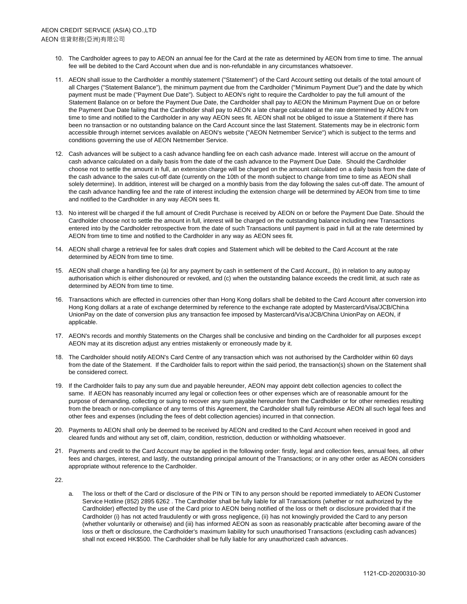- 10. The Cardholder agrees to pay to AEON an annual fee for the Card at the rate as determined by AEON from time to time. The annual fee will be debited to the Card Account when due and is non-refundable in any circumstances whatsoever.
- 11. AEON shall issue to the Cardholder a monthly statement ("Statement") of the Card Account setting out details of the total amount of all Charges ("Statement Balance"), the minimum payment due from the Cardholder ("Minimum Payment Due") and the date by which payment must be made ("Payment Due Date"). Subject to AEON's right to require the Cardholder to pay the full amount of the Statement Balance on or before the Payment Due Date, the Cardholder shall pay to AEON the Minimum Payment Due on or before the Payment Due Date failing that the Cardholder shall pay to AEON a late charge calculated at the rate determined by AEON from time to time and notified to the Cardholder in any way AEON sees fit. AEON shall not be obliged to issue a Statement if there has been no transaction or no outstanding balance on the Card Account since the last Statement. Statements may be in electronic form accessible through internet services available on AEON's website ("AEON Netmember Service") which is subject to the terms and conditions governing the use of AEON Netmember Service.
- 12. Cash advances will be subject to a cash advance handling fee on each cash advance made. Interest will accrue on the amount of cash advance calculated on a daily basis from the date of the cash advance to the Payment Due Date. Should the Cardholder choose not to settle the amount in full, an extension charge will be charged on the amount calculated on a daily basis from the date of the cash advance to the sales cut-off date (currently on the 10th of the month subject to change from time to time as AEON shall solely determine). In addition, interest will be charged on a monthly basis from the day following the sales cut-off date. The amount of the cash advance handling fee and the rate of interest including the extension charge will be determined by AEON from time to time and notified to the Cardholder in any way AEON sees fit.
- 13. No interest will be charged if the full amount of Credit Purchase is received by AEON on or before the Payment Due Date. Should the Cardholder choose not to settle the amount in full, interest will be charged on the outstanding balance including new Transactions entered into by the Cardholder retrospective from the date of such Transactions until payment is paid in full at the rate determined by AEON from time to time and notified to the Cardholder in any way as AEON sees fit.
- 14. AEON shall charge a retrieval fee for sales draft copies and Statement which will be debited to the Card Account at the rate determined by AEON from time to time.
- 15. AEON shall charge a handling fee (a) for any payment by cash in settlement of the Card Account,, (b) in relation to any autopay authorisation which is either dishonoured or revoked, and (c) when the outstanding balance exceeds the credit limit, at such rate as determined by AEON from time to time.
- 16. Transactions which are effected in currencies other than Hong Kong dollars shall be debited to the Card Account after conversion into Hong Kong dollars at a rate of exchange determined by reference to the exchange rate adopted by Mastercard/Visa/JCB/China UnionPay on the date of conversion plus any transaction fee imposed by Mastercard/Visa/JCB/China UnionPay on AEON, if applicable.
- 17. AEON's records and monthly Statements on the Charges shall be conclusive and binding on the Cardholder for all purposes except AEON may at its discretion adjust any entries mistakenly or erroneously made by it.
- 18. The Cardholder should notify AEON's Card Centre of any transaction which was not authorised by the Cardholder within 60 days from the date of the Statement. If the Cardholder fails to report within the said period, the transaction(s) shown on the Statement shall be considered correct.
- 19. If the Cardholder fails to pay any sum due and payable hereunder, AEON may appoint debt collection agencies to collect the same. If AEON has reasonably incurred any legal or collection fees or other expenses which are of reasonable amount for the purpose of demanding, collecting or suing to recover any sum payable hereunder from the Cardholder or for other remedies resulting from the breach or non-compliance of any terms of this Agreement, the Cardholder shall fully reimburse AEON all such legal fees and other fees and expenses (including the fees of debt collection agencies) incurred in that connection.
- 20. Payments to AEON shall only be deemed to be received by AEON and credited to the Card Account when received in good and cleared funds and without any set off, claim, condition, restriction, deduction or withholding whatsoever.
- 21. Payments and credit to the Card Account may be applied in the following order: firstly, legal and collection fees, annual fees, all other fees and charges, interest, and lastly, the outstanding principal amount of the Transactions; or in any other order as AEON considers appropriate without reference to the Cardholder.

22.

a. The loss or theft of the Card or disclosure of the PIN or TIN to any person should be reported immediately to AEON Customer Service Hotline (852) 2895 6262 . The Cardholder shall be fully liable for all Transactions (whether or not authorized by the Cardholder) effected by the use of the Card prior to AEON being notified of the loss or theft or disclosure provided that if the Cardholder (i) has not acted fraudulently or with gross negligence, (ii) has not knowingly provided the Card to any person (whether voluntarily or otherwise) and (iii) has informed AEON as soon as reasonably practicable after becoming aware of the loss or theft or disclosure, the Cardholder's maximum liability for such unauthorised Transactions (excluding cash advances) shall not exceed HK\$500. The Cardholder shall be fully liable for any unauthorized cash advances.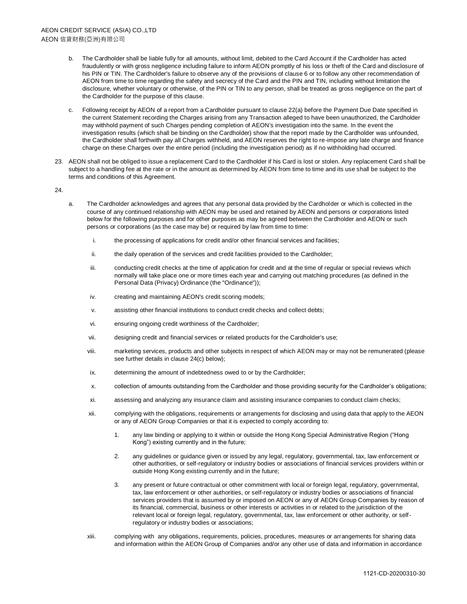- The Cardholder shall be liable fully for all amounts, without limit, debited to the Card Account if the Cardholder has acted fraudulently or with gross negligence including failure to inform AEON promptly of his loss or theft of the Card and disclosure of his PIN or TIN. The Cardholder's failure to observe any of the provisions of clause 6 or to follow any other recommendation of AEON from time to time regarding the safety and secrecy of the Card and the PIN and TIN, including without limitation the disclosure, whether voluntary or otherwise, of the PIN or TIN to any person, shall be treated as gross negligence on the part of the Cardholder for the purpose of this clause.
- c. Following receipt by AEON of a report from a Cardholder pursuant to clause 22(a) before the Payment Due Date specified in the current Statement recording the Charges arising from any Transaction alleged to have been unauthorized, the Cardholder may withhold payment of such Charges pending completion of AEON's investigation into the same. In the event the investigation results (which shall be binding on the Cardholder) show that the report made by the Cardholder was unfounded, the Cardholder shall forthwith pay all Charges withheld, and AEON reserves the right to re-impose any late charge and finance charge on these Charges over the entire period (including the investigation period) as if no withholding had occurred.
- 23. AEON shall not be obliged to issue a replacement Card to the Cardholder if his Card is lost or stolen. Any replacement Card shall be subject to a handling fee at the rate or in the amount as determined by AEON from time to time and its use shall be subject to the terms and conditions of this Agreement.
- 24.
- a. The Cardholder acknowledges and agrees that any personal data provided by the Cardholder or which is collected in the course of any continued relationship with AEON may be used and retained by AEON and persons or corporations listed below for the following purposes and for other purposes as may be agreed between the Cardholder and AEON or such persons or corporations (as the case may be) or required by law from time to time:
	- i. the processing of applications for credit and/or other financial services and facilities;
	- ii. the daily operation of the services and credit facilities provided to the Cardholder;
	- iii. conducting credit checks at the time of application for credit and at the time of regular or special reviews which normally will take place one or more times each year and carrying out matching procedures (as defined in the Personal Data (Privacy) Ordinance (the "Ordinance"));
	- iv. creating and maintaining AEON's credit scoring models;
	- v. assisting other financial institutions to conduct credit checks and collect debts;
	- vi. ensuring ongoing credit worthiness of the Cardholder;
	- vii. designing credit and financial services or related products for the Cardholder's use;
	- viii. marketing services, products and other subjects in respect of which AEON may or may not be remunerated (please see further details in clause 24(c) below);
	- ix. determining the amount of indebtedness owed to or by the Cardholder;
	- x. collection of amounts outstanding from the Cardholder and those providing security for the Cardholder's obligations;
	- xi. assessing and analyzing any insurance claim and assisting insurance companies to conduct claim checks;
	- xii. complying with the obligations, requirements or arrangements for disclosing and using data that apply to the AEON or any of AEON Group Companies or that it is expected to comply according to:
		- 1. any law binding or applying to it within or outside the Hong Kong Special Administrative Region ("Hong Kong") existing currently and in the future;
		- 2. any guidelines or guidance given or issued by any legal, regulatory, governmental, tax, law enforcement or other authorities, or self-regulatory or industry bodies or associations of financial services providers within or outside Hong Kong existing currently and in the future;
		- 3. any present or future contractual or other commitment with local or foreign legal, regulatory, governmental, tax, law enforcement or other authorities, or self-regulatory or industry bodies or associations of financial services providers that is assumed by or imposed on AEON or any of AEON Group Companies by reason of its financial, commercial, business or other interests or activities in or related to the jurisdiction of the relevant local or foreign legal, regulatory, governmental, tax, law enforcement or other authority, or selfregulatory or industry bodies or associations;
	- xiii. complying with any obligations, requirements, policies, procedures, measures or arrangements for sharing data and information within the AEON Group of Companies and/or any other use of data and information in accordance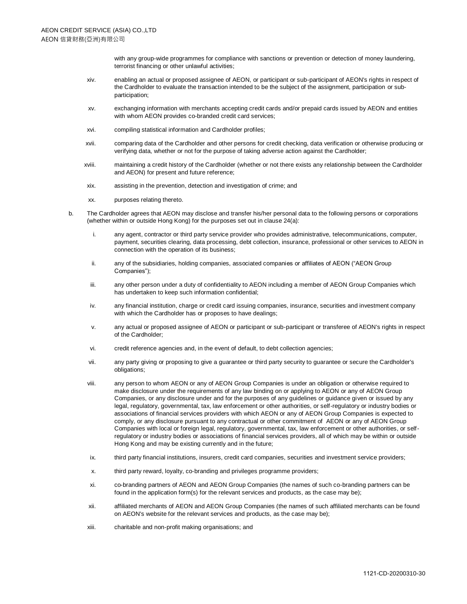with any group-wide programmes for compliance with sanctions or prevention or detection of money laundering, terrorist financing or other unlawful activities;

- xiv. enabling an actual or proposed assignee of AEON, or participant or sub-participant of AEON's rights in respect of the Cardholder to evaluate the transaction intended to be the subject of the assignment, participation or subparticipation;
- xv. exchanging information with merchants accepting credit cards and/or prepaid cards issued by AEON and entities with whom AEON provides co-branded credit card services;
- xvi. compiling statistical information and Cardholder profiles;
- xvii. comparing data of the Cardholder and other persons for credit checking, data verification or otherwise producing or verifying data, whether or not for the purpose of taking adverse action against the Cardholder;
- xviii. maintaining a credit history of the Cardholder (whether or not there exists any relationship between the Cardholder and AEON) for present and future reference;
- xix. assisting in the prevention, detection and investigation of crime; and
- xx. purposes relating thereto.
- b. The Cardholder agrees that AEON may disclose and transfer his/her personal data to the following persons or corporations (whether within or outside Hong Kong) for the purposes set out in clause 24(a):
	- i. any agent, contractor or third party service provider who provides administrative, telecommunications, computer, payment, securities clearing, data processing, debt collection, insurance, professional or other services to AEON in connection with the operation of its business;
	- ii. any of the subsidiaries, holding companies, associated companies or affiliates of AEON ("AEON Group Companies");
	- iii. any other person under a duty of confidentiality to AEON including a member of AEON Group Companies which has undertaken to keep such information confidential;
	- iv. any financial institution, charge or credit card issuing companies, insurance, securities and investment company with which the Cardholder has or proposes to have dealings;
	- v. any actual or proposed assignee of AEON or participant or sub-participant or transferee of AEON's rights in respect of the Cardholder;
	- vi. credit reference agencies and, in the event of default, to debt collection agencies;
	- vii. any party giving or proposing to give a guarantee or third party security to guarantee or secure the Cardholder's obligations;
	- viii. any person to whom AEON or any of AEON Group Companies is under an obligation or otherwise required to make disclosure under the requirements of any law binding on or applying to AEON or any of AEON Group Companies, or any disclosure under and for the purposes of any guidelines or guidance given or issued by any legal, regulatory, governmental, tax, law enforcement or other authorities, or self-regulatory or industry bodies or associations of financial services providers with which AEON or any of AEON Group Companies is expected to comply, or any disclosure pursuant to any contractual or other commitment of AEON or any of AEON Group Companies with local or foreign legal, regulatory, governmental, tax, law enforcement or other authorities, or selfregulatory or industry bodies or associations of financial services providers, all of which may be within or outside Hong Kong and may be existing currently and in the future;
	- ix. third party financial institutions, insurers, credit card companies, securities and investment service providers;
	- x. third party reward, loyalty, co-branding and privileges programme providers;
	- xi. co-branding partners of AEON and AEON Group Companies (the names of such co-branding partners can be found in the application form(s) for the relevant services and products, as the case may be);
	- xii. affiliated merchants of AEON and AEON Group Companies (the names of such affiliated merchants can be found on AEON's website for the relevant services and products, as the case may be);
	- xiii. charitable and non-profit making organisations; and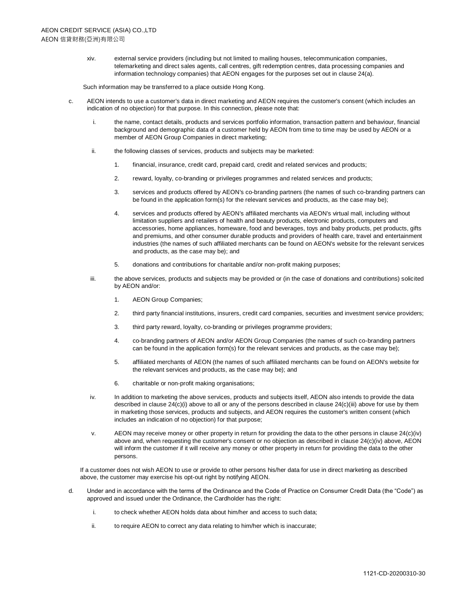xiv. external service providers (including but not limited to mailing houses, telecommunication companies, telemarketing and direct sales agents, call centres, gift redemption centres, data processing companies and information technology companies) that AEON engages for the purposes set out in clause 24(a).

Such information may be transferred to a place outside Hong Kong.

- c. AEON intends to use a customer's data in direct marketing and AEON requires the customer's consent (which includes an indication of no objection) for that purpose. In this connection, please note that:
	- i. the name, contact details, products and services portfolio information, transaction pattern and behaviour, financial background and demographic data of a customer held by AEON from time to time may be used by AEON or a member of AEON Group Companies in direct marketing;
	- ii. the following classes of services, products and subjects may be marketed:
		- 1. financial, insurance, credit card, prepaid card, credit and related services and products;
		- 2. reward, loyalty, co-branding or privileges programmes and related services and products;
		- 3. services and products offered by AEON's co-branding partners (the names of such co-branding partners can be found in the application form(s) for the relevant services and products, as the case may be);
		- 4. services and products offered by AEON's affiliated merchants via AEON's virtual mall, including without limitation suppliers and retailers of health and beauty products, electronic products, computers and accessories, home appliances, homeware, food and beverages, toys and baby products, pet products, gifts and premiums, and other consumer durable products and providers of health care, travel and entertainment industries (the names of such affiliated merchants can be found on AEON's website for the relevant services and products, as the case may be); and
		- 5. donations and contributions for charitable and/or non-profit making purposes;
	- iii. the above services, products and subjects may be provided or (in the case of donations and contributions) solicited by AEON and/or:
		- 1. AEON Group Companies;
		- 2. third party financial institutions, insurers, credit card companies, securities and investment service providers;
		- 3. third party reward, loyalty, co-branding or privileges programme providers;
		- 4. co-branding partners of AEON and/or AEON Group Companies (the names of such co-branding partners can be found in the application form(s) for the relevant services and products, as the case may be);
		- 5. affiliated merchants of AEON (the names of such affiliated merchants can be found on AEON's website for the relevant services and products, as the case may be); and
		- 6. charitable or non-profit making organisations;
	- iv. In addition to marketing the above services, products and subjects itself, AEON also intends to provide the data described in clause 24(c)(i) above to all or any of the persons described in clause 24(c)(iii) above for use by them in marketing those services, products and subjects, and AEON requires the customer's written consent (which includes an indication of no objection) for that purpose;
	- v. AEON may receive money or other property in return for providing the data to the other persons in clause 24(c)(iv) above and, when requesting the customer's consent or no objection as described in clause 24(c)(iv) above, AEON will inform the customer if it will receive any money or other property in return for providing the data to the other persons.

If a customer does not wish AEON to use or provide to other persons his/her data for use in direct marketing as described above, the customer may exercise his opt-out right by notifying AEON.

- d. Under and in accordance with the terms of the Ordinance and the Code of Practice on Consumer Credit Data (the "Code") as approved and issued under the Ordinance, the Cardholder has the right:
	- i. to check whether AEON holds data about him/her and access to such data;
	- ii. to require AEON to correct any data relating to him/her which is inaccurate;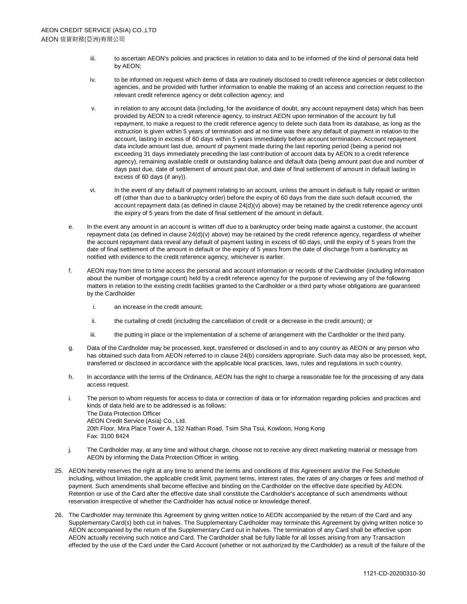- iii. to ascertain AEON's policies and practices in relation to data and to be informed of the kind of personal data held by AEON;
- iv. to be informed on request which items of data are routinely disclosed to credit reference agencies or debt collection agencies, and be provided with further information to enable the making of an access and correction request to the relevant credit reference agency or debt collection agency; and
- v. in relation to any account data (including, for the avoidance of doubt, any account repayment data) which has been provided by AEON to a credit reference agency, to instruct AEON upon termination of the account by full repayment, to make a request to the credit reference agency to delete such data from its database, as long as the instruction is given within 5 years of termination and at no time was there any default of payment in relation to the account, lasting in excess of 60 days within 5 years immediately before account termination. Account repayment data include amount last due, amount of payment made during the last reporting period (being a period not exceeding 31 days immediately preceding the last contribution of account data by AEON to a credit reference agency), remaining available credit or outstanding balance and default data (being amount past due and number of days past due, date of settlement of amount past due, and date of final settlement of amount in default lasting in excess of 60 days (if any)).
- vi. In the event of any default of payment relating to an account, unless the amount in default is fully repaid or written off (other than due to a bankruptcy order) before the expiry of 60 days from the date such default occurred, the account repayment data (as defined in clause 24(d)(v) above) may be retained by the credit reference agency until the expiry of 5 years from the date of final settlement of the amount in default.
- e. In the event any amount in an account is written off due to a bankruptcy order being made against a customer, the account repayment data (as defined in clause 24(d)(v) above) may be retained by the credit reference agency, regardless of whether the account repayment data reveal any default of payment lasting in excess of 60 days, until the expiry of 5 years from the date of final settlement of the amount in default or the expiry of 5 years from the date of discharge from a bankruptcy as notified with evidence to the credit reference agency, whichever is earlier.
- f. AEON may from time to time access the personal and account information or records of the Cardholder (including information about the number of mortgage count) held by a credit reference agency for the purpose of reviewing any of the following matters in relation to the existing credit facilities granted to the Cardholder or a third party whose obligations are guaranteed by the Cardholder
	- i. an increase in the credit amount;
	- ii. the curtailing of credit (including the cancellation of credit or a decrease in the credit amount); or
	- iii. the putting in place or the implementation of a scheme of arrangement with the Cardholder or the third party.
- g. Data of the Cardholder may be processed, kept, transferred or disclosed in and to any country as AEON or any person who has obtained such data from AEON referred to in clause 24(b) considers appropriate. Such data may also be processed, kept, transferred or disclosed in accordance with the applicable local practices, laws, rules and regulations in such country.
- h. In accordance with the terms of the Ordinance, AEON has the right to charge a reasonable fee for the processing of any data access request.
- i. The person to whom requests for access to data or correction of data or for information regarding policies and practices and kinds of data held are to be addressed is as follows: The Data Protection Officer AEON Credit Service (Asia) Co., Ltd. 20th Floor, Mira Place Tower A, 132 Nathan Road, Tsim Sha Tsui, Kowloon, Hong Kong Fax: 3100 8424
- j. The Cardholder may, at any time and without charge, choose not to receive any direct marketing material or message from AEON by informing the Data Protection Officer in writing.
- 25. AEON hereby reserves the right at any time to amend the terms and conditions of this Agreement and/or the Fee Schedule including, without limitation, the applicable credit limit, payment terms, interest rates, the rates of any charges or fees and method of payment. Such amendments shall become effective and binding on the Cardholder on the effective date specified by AEON. Retention or use of the Card after the effective date shall constitute the Cardholder's acceptance of such amendments without reservation irrespective of whether the Cardholder has actual notice or knowledge thereof.
- 26. The Cardholder may terminate this Agreement by giving written notice to AEON accompanied by the return of the Card and any Supplementary Card(s) both cut in halves. The Supplementary Cardholder may terminate this Agreement by giving written notice to AEON accompanied by the return of the Supplementary Card cut in halves. The termination of any Card shall be effective upon AEON actually receiving such notice and Card. The Cardholder shall be fully liable for all losses arising from any Transaction effected by the use of the Card under the Card Account (whether or not authorized by the Cardholder) as a result of the failure of the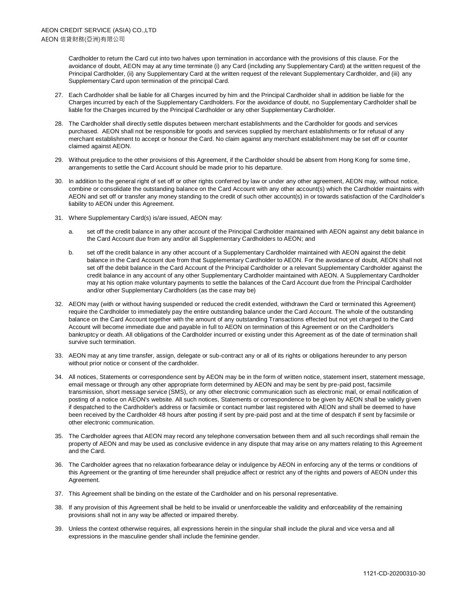Cardholder to return the Card cut into two halves upon termination in accordance with the provisions of this clause. For the avoidance of doubt, AEON may at any time terminate (i) any Card (including any Supplementary Card) at the written request of the Principal Cardholder, (ii) any Supplementary Card at the written request of the relevant Supplementary Cardholder, and (iii) any Supplementary Card upon termination of the principal Card.

- 27. Each Cardholder shall be liable for all Charges incurred by him and the Principal Cardholder shall in addition be liable for the Charges incurred by each of the Supplementary Cardholders. For the avoidance of doubt, no Supplementary Cardholder shall be liable for the Charges incurred by the Principal Cardholder or any other Supplementary Cardholder.
- 28. The Cardholder shall directly settle disputes between merchant establishments and the Cardholder for goods and services purchased. AEON shall not be responsible for goods and services supplied by merchant establishments or for refusal of any merchant establishment to accept or honour the Card. No claim against any merchant establishment may be set off or counter claimed against AEON.
- 29. Without prejudice to the other provisions of this Agreement, if the Cardholder should be absent from Hong Kong for some time, arrangements to settle the Card Account should be made prior to his departure.
- 30. In addition to the general right of set off or other rights conferred by law or under any other agreement, AEON may, without notice, combine or consolidate the outstanding balance on the Card Account with any other account(s) which the Cardholder maintains with AEON and set off or transfer any money standing to the credit of such other account(s) in or towards satisfaction of the Cardholder's liability to AEON under this Agreement.
- 31. Where Supplementary Card(s) is/are issued, AEON may:
	- a. set off the credit balance in any other account of the Principal Cardholder maintained with AEON against any debit balance in the Card Account due from any and/or all Supplementary Cardholders to AEON; and
	- b. set off the credit balance in any other account of a Supplementary Cardholder maintained with AEON against the debit balance in the Card Account due from that Supplementary Cardholder to AEON. For the avoidance of doubt, AEON shall not set off the debit balance in the Card Account of the Principal Cardholder or a relevant Supplementary Cardholder against the credit balance in any account of any other Supplementary Cardholder maintained with AEON. A Supplementary Cardholder may at his option make voluntary payments to settle the balances of the Card Account due from the Principal Cardholder and/or other Supplementary Cardholders (as the case may be)
- 32. AEON may (with or without having suspended or reduced the credit extended, withdrawn the Card or terminated this Agreement) require the Cardholder to immediately pay the entire outstanding balance under the Card Account. The whole of the outstanding balance on the Card Account together with the amount of any outstanding Transactions effected but not yet charged to the Card Account will become immediate due and payable in full to AEON on termination of this Agreement or on the Cardholder's bankruptcy or death. All obligations of the Cardholder incurred or existing under this Agreement as of the date of termination shall survive such termination.
- 33. AEON may at any time transfer, assign, delegate or sub-contract any or all of its rights or obligations hereunder to any person without prior notice or consent of the cardholder.
- 34. All notices, Statements or correspondence sent by AEON may be in the form of written notice, statement insert, statement message, email message or through any other appropriate form determined by AEON and may be sent by pre-paid post, facsimile transmission, short message service (SMS), or any other electronic communication such as electronic mail, or email notification of posting of a notice on AEON's website. All such notices, Statements or correspondence to be given by AEON shall be validly given if despatched to the Cardholder's address or facsimile or contact number last registered with AEON and shall be deemed to have been received by the Cardholder 48 hours after posting if sent by pre-paid post and at the time of despatch if sent by facsimile or other electronic communication.
- 35. The Cardholder agrees that AEON may record any telephone conversation between them and all such recordings shall remain the property of AEON and may be used as conclusive evidence in any dispute that may arise on any matters relating to this Agreement and the Card.
- 36. The Cardholder agrees that no relaxation forbearance delay or indulgence by AEON in enforcing any of the terms or conditions of this Agreement or the granting of time hereunder shall prejudice affect or restrict any of the rights and powers of AEON under this Agreement.
- 37. This Agreement shall be binding on the estate of the Cardholder and on his personal representative.
- 38. If any provision of this Agreement shall be held to be invalid or unenforceable the validity and enforceability of the remaining provisions shall not in any way be affected or impaired thereby.
- 39. Unless the context otherwise requires, all expressions herein in the singular shall include the plural and vice versa and all expressions in the masculine gender shall include the feminine gender.